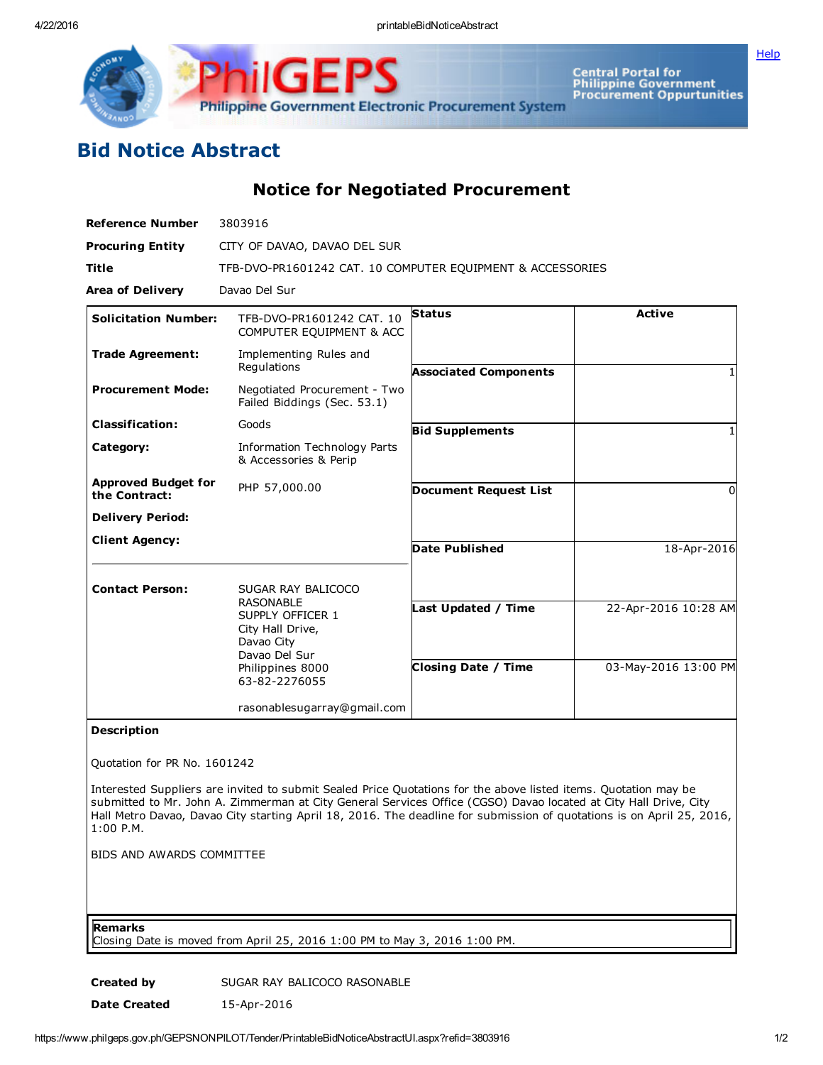4/22/2016 printableBidNoticeAbstract

**[Help](javascript:void(window.open()** 



Central Portal for<br>Philippine Government<br>Procurement Oppurtunities

## Bid Notice Abstract

Notice for Negotiated Procurement

| <b>Reference Number</b>                     | 3803916                                                                                 |                              |                      |
|---------------------------------------------|-----------------------------------------------------------------------------------------|------------------------------|----------------------|
| <b>Procuring Entity</b>                     | CITY OF DAVAO, DAVAO DEL SUR                                                            |                              |                      |
| <b>Title</b>                                | TFB-DVO-PR1601242 CAT. 10 COMPUTER EQUIPMENT & ACCESSORIES                              |                              |                      |
| <b>Area of Delivery</b>                     | Davao Del Sur                                                                           |                              |                      |
| <b>Solicitation Number:</b>                 | TFB-DVO-PR1601242 CAT. 10<br>COMPUTER EQUIPMENT & ACC                                   | <b>Status</b>                | <b>Active</b>        |
| <b>Trade Agreement:</b>                     | Implementing Rules and<br>Regulations                                                   | <b>Associated Components</b> |                      |
| <b>Procurement Mode:</b>                    | Negotiated Procurement - Two<br>Failed Biddings (Sec. 53.1)                             |                              |                      |
| <b>Classification:</b>                      | Goods                                                                                   | <b>Bid Supplements</b>       |                      |
| Category:                                   | Information Technology Parts<br>& Accessories & Perip                                   |                              |                      |
| <b>Approved Budget for</b><br>the Contract: | PHP 57,000.00                                                                           | <b>Document Request List</b> | $\Omega$             |
| <b>Delivery Period:</b>                     |                                                                                         |                              |                      |
| <b>Client Agency:</b>                       |                                                                                         | <b>Date Published</b>        | 18-Apr-2016          |
| <b>Contact Person:</b>                      | SUGAR RAY BALICOCO                                                                      |                              |                      |
|                                             | <b>RASONABLE</b><br>SUPPLY OFFICER 1<br>City Hall Drive,<br>Davao City<br>Davao Del Sur | Last Updated / Time          | 22-Apr-2016 10:28 AM |
|                                             | Philippines 8000<br>63-82-2276055                                                       | <b>Closing Date / Time</b>   | 03-May-2016 13:00 PM |
|                                             | rasonablesugarray@gmail.com                                                             |                              |                      |
| <b>Description</b>                          |                                                                                         |                              |                      |

Quotation for PR No. 1601242

Interested Suppliers are invited to submit Sealed Price Quotations for the above listed items. Quotation may be submitted to Mr. John A. Zimmerman at City General Services Office (CGSO) Davao located at City Hall Drive, City Hall Metro Davao, Davao City starting April 18, 2016. The deadline for submission of quotations is on April 25, 2016, 1:00 P.M.

BIDS AND AWARDS COMMITTEE

Remarks

Closing Date is moved from April 25, 2016 1:00 PM to May 3, 2016 1:00 PM.

Created by SUGAR RAY BALICOCO RASONABLE

Date Created 15-Apr-2016